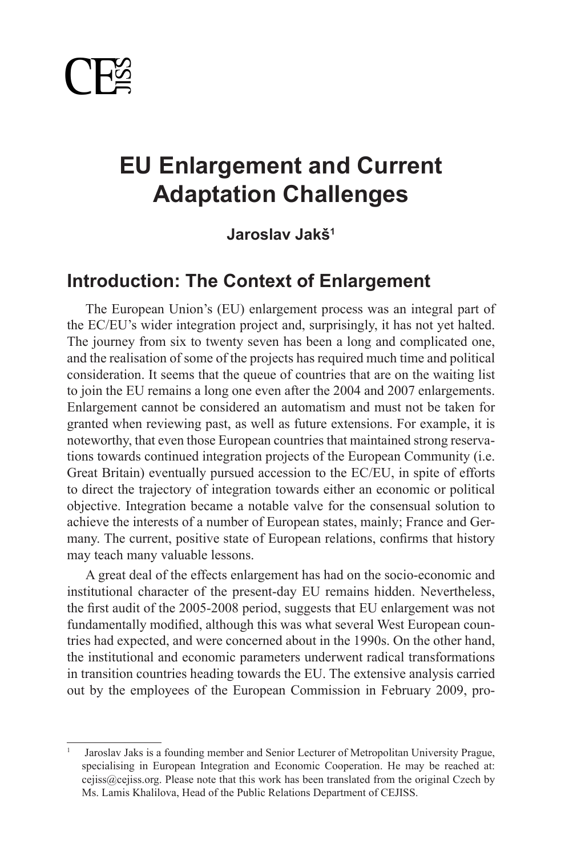

# **The Role of Diasporas in Foreign Adaptation Challenges EU Enlargement and Current**

# **Policy: The Case of Canada Jaroslav Jakš<sup>1</sup>**

# **Introduction: The Context of Enlargement**

The European Union's (EU) enlargement process was an integral part of the EC/EU's wider integration project and, surprisingly, it has not yet halted. The journey from six to twenty seven has been a long and complicated one, and the realisation of some of the projects has required much time and political consideration. It seems that the queue of countries that are on the waiting list to join the EU remains a long one even after the 2004 and 2007 enlargements. Emaigement cannot be considered an addomatism and must not be taken for granted when reviewing past, as well as future extensions. For example, it is noteworthy, that even those European countries that maintained strong reservations towards continued integration projects of the European Community (i.e. Great Britain) eventually pursued accession to the EC/EU, in spite of efforts to direct the trajectory of integration towards either an economic or political *spring from the fundamental bases of a state – its geographical location, its*  objective. Integration became a notable valve for the consensual solution to achieve the interests of a number of European states, mainly; France and Germany. The current, positive state of European relations, confirms that history Enlargement cannot be considered an automatism and must not be taken for may teach many valuable lessons.

A great deal of the effects enlargement has had on the socio-economic and the first audit of the 2005-2008 period, suggests that EU enlargement was not fundamentally modified, although this was what several West European countries had expected, and were concerned about in the 1990s. On the other hand, the institutional and economic parameters underwent radical transformations in transition countries heading towards the EU. The extensive analysis carried out by the employees of the European Commission in February 2009, proinstitutional character of the present-day EU remains hidden. Nevertheless,

ment of Foreign Affairs and International Trade (DFAIT), Canada. She may be contacted at: Canada. She may be c

<sup>&</sup>lt;sup>1</sup> Jaroslav Jaks is a founding member and Senior Lecturer of Metropolitan University Prague, specialising in European Integration and Economic Cooperation. He may be reached at: cejiss@cejiss.org. Please note that this work has been translated from the original Czech by Ms. Lamis Khalilova, Head of the Public Relations Department of CEJISS.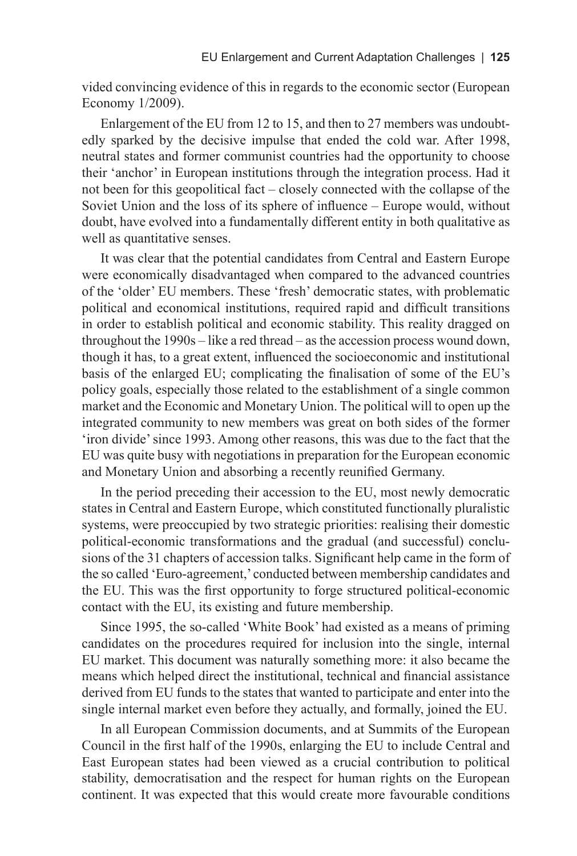vided convincing evidence of this in regards to the economic sector (European Economy 1/2009).

Enlargement of the EU from 12 to 15, and then to 27 members was undoubtedly sparked by the decisive impulse that ended the cold war. After 1998, neutral states and former communist countries had the opportunity to choose their 'anchor' in European institutions through the integration process. Had it not been for this geopolitical fact – closely connected with the collapse of the Soviet Union and the loss of its sphere of influence – Europe would, without doubt, have evolved into a fundamentally different entity in both qualitative as well as quantitative senses.

It was clear that the potential candidates from Central and Eastern Europe were economically disadvantaged when compared to the advanced countries of the 'older' EU members. These 'fresh' democratic states, with problematic political and economical institutions, required rapid and difficult transitions in order to establish political and economic stability. This reality dragged on throughout the 1990s – like a red thread – as the accession process wound down, though it has, to a great extent, influenced the socioeconomic and institutional basis of the enlarged EU; complicating the finalisation of some of the EU's policy goals, especially those related to the establishment of a single common market and the Economic and Monetary Union. The political will to open up the integrated community to new members was great on both sides of the former 'iron divide' since 1993. Among other reasons, this was due to the fact that the EU was quite busy with negotiations in preparation for the European economic and Monetary Union and absorbing a recently reunified Germany.

In the period preceding their accession to the EU, most newly democratic states in Central and Eastern Europe, which constituted functionally pluralistic systems, were preoccupied by two strategic priorities: realising their domestic political-economic transformations and the gradual (and successful) conclusions of the 31 chapters of accession talks. Significant help came in the form of the so called 'Euro-agreement,' conducted between membership candidates and the EU. This was the first opportunity to forge structured political-economic contact with the EU, its existing and future membership.

Since 1995, the so-called 'White Book' had existed as a means of priming candidates on the procedures required for inclusion into the single, internal EU market. This document was naturally something more: it also became the means which helped direct the institutional, technical and financial assistance derived from EU funds to the states that wanted to participate and enter into the single internal market even before they actually, and formally, joined the EU.

In all European Commission documents, and at Summits of the European Council in the first half of the 1990s, enlarging the EU to include Central and East European states had been viewed as a crucial contribution to political stability, democratisation and the respect for human rights on the European continent. It was expected that this would create more favourable conditions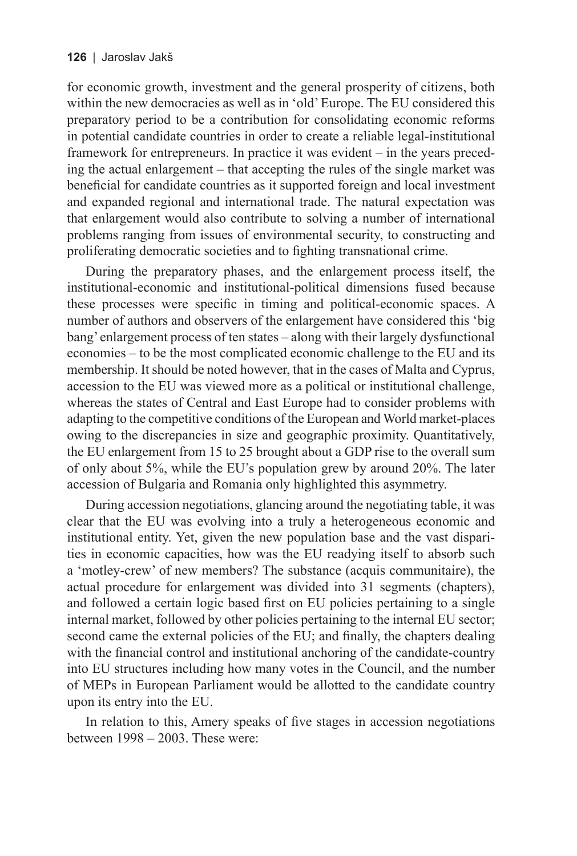for economic growth, investment and the general prosperity of citizens, both within the new democracies as well as in 'old' Europe. The EU considered this preparatory period to be a contribution for consolidating economic reforms in potential candidate countries in order to create a reliable legal-institutional framework for entrepreneurs. In practice it was evident – in the years preceding the actual enlargement – that accepting the rules of the single market was beneficial for candidate countries as it supported foreign and local investment and expanded regional and international trade. The natural expectation was that enlargement would also contribute to solving a number of international problems ranging from issues of environmental security, to constructing and proliferating democratic societies and to fighting transnational crime.

During the preparatory phases, and the enlargement process itself, the institutional-economic and institutional-political dimensions fused because these processes were specific in timing and political-economic spaces. A number of authors and observers of the enlargement have considered this 'big bang' enlargement process of ten states – along with their largely dysfunctional economies – to be the most complicated economic challenge to the EU and its membership. It should be noted however, that in the cases of Malta and Cyprus, accession to the EU was viewed more as a political or institutional challenge, whereas the states of Central and East Europe had to consider problems with adapting to the competitive conditions of the European and World market-places owing to the discrepancies in size and geographic proximity. Quantitatively, the EU enlargement from 15 to 25 brought about a GDP rise to the overall sum of only about 5%, while the EU's population grew by around 20%. The later accession of Bulgaria and Romania only highlighted this asymmetry.

During accession negotiations, glancing around the negotiating table, it was clear that the EU was evolving into a truly a heterogeneous economic and institutional entity. Yet, given the new population base and the vast disparities in economic capacities, how was the EU readying itself to absorb such a 'motley-crew' of new members? The substance (acquis communitaire), the actual procedure for enlargement was divided into 31 segments (chapters), and followed a certain logic based first on EU policies pertaining to a single internal market, followed by other policies pertaining to the internal EU sector; second came the external policies of the EU; and finally, the chapters dealing with the financial control and institutional anchoring of the candidate-country into EU structures including how many votes in the Council, and the number of MEPs in European Parliament would be allotted to the candidate country upon its entry into the EU.

In relation to this, Amery speaks of five stages in accession negotiations between 1998 – 2003. These were: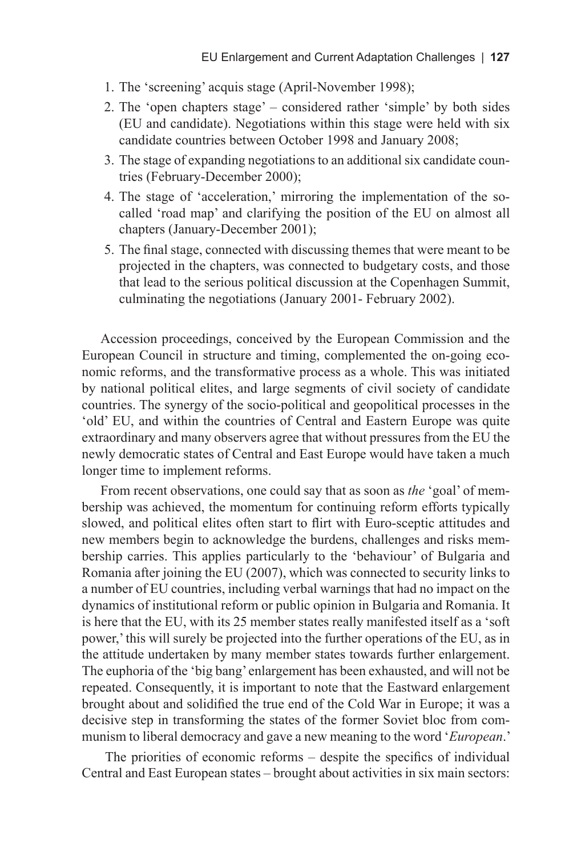- 1. The 'screening' acquis stage (April-November 1998);
- 2. The 'open chapters stage' considered rather 'simple' by both sides (EU and candidate). Negotiations within this stage were held with six candidate countries between October 1998 and January 2008;
- 3. The stage of expanding negotiations to an additional six candidate countries (February-December 2000);
- 4. The stage of 'acceleration,' mirroring the implementation of the socalled 'road map' and clarifying the position of the EU on almost all chapters (January-December 2001);
- 5. The final stage, connected with discussing themes that were meant to be projected in the chapters, was connected to budgetary costs, and those that lead to the serious political discussion at the Copenhagen Summit, culminating the negotiations (January 2001- February 2002).

Accession proceedings, conceived by the European Commission and the European Council in structure and timing, complemented the on-going economic reforms, and the transformative process as a whole. This was initiated by national political elites, and large segments of civil society of candidate countries. The synergy of the socio-political and geopolitical processes in the 'old' EU, and within the countries of Central and Eastern Europe was quite extraordinary and many observers agree that without pressures from the EU the newly democratic states of Central and East Europe would have taken a much longer time to implement reforms.

From recent observations, one could say that as soon as *the* 'goal' of membership was achieved, the momentum for continuing reform efforts typically slowed, and political elites often start to flirt with Euro-sceptic attitudes and new members begin to acknowledge the burdens, challenges and risks membership carries. This applies particularly to the 'behaviour' of Bulgaria and Romania after joining the EU (2007), which was connected to security links to a number of EU countries, including verbal warnings that had no impact on the dynamics of institutional reform or public opinion in Bulgaria and Romania. It is here that the EU, with its 25 member states really manifested itself as a 'soft power,' this will surely be projected into the further operations of the EU, as in the attitude undertaken by many member states towards further enlargement. The euphoria of the 'big bang' enlargement has been exhausted, and will not be repeated. Consequently, it is important to note that the Eastward enlargement brought about and solidified the true end of the Cold War in Europe; it was a decisive step in transforming the states of the former Soviet bloc from communism to liberal democracy and gave a new meaning to the word '*European*.'

The priorities of economic reforms – despite the specifics of individual Central and East European states – brought about activities in six main sectors: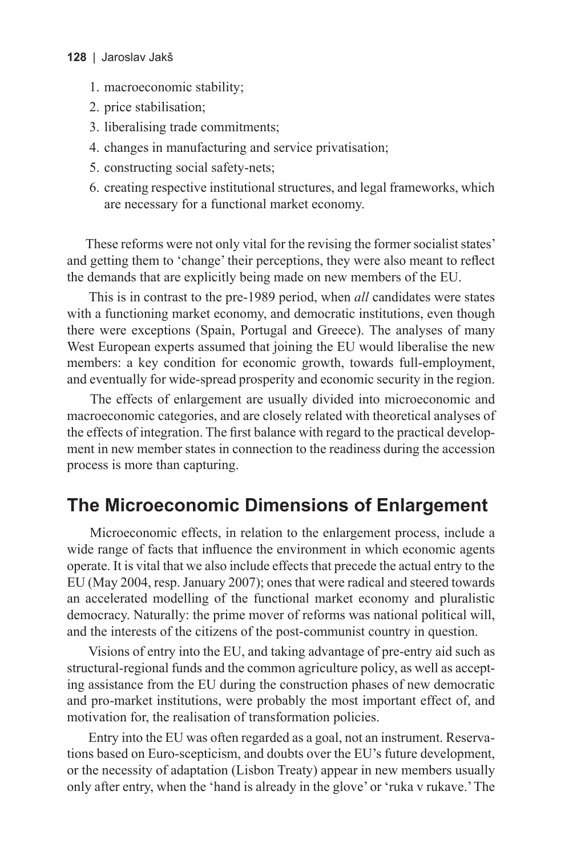### **128** | Jaroslav Jakš

- 1. macroeconomic stability;
- 2. price stabilisation;
- 3. liberalising trade commitments;
- 4. changes in manufacturing and service privatisation;
- 5. constructing social safety-nets;
- 6. creating respective institutional structures, and legal frameworks, which are necessary for a functional market economy.

These reforms were not only vital for the revising the former socialist states' and getting them to 'change' their perceptions, they were also meant to reflect the demands that are explicitly being made on new members of the EU.

This is in contrast to the pre-1989 period, when *all* candidates were states with a functioning market economy, and democratic institutions, even though there were exceptions (Spain, Portugal and Greece). The analyses of many West European experts assumed that joining the EU would liberalise the new members: a key condition for economic growth, towards full-employment, and eventually for wide-spread prosperity and economic security in the region.

The effects of enlargement are usually divided into microeconomic and macroeconomic categories, and are closely related with theoretical analyses of the effects of integration. The first balance with regard to the practical development in new member states in connection to the readiness during the accession process is more than capturing.

### **The Microeconomic Dimensions of Enlargement**

Microeconomic effects, in relation to the enlargement process, include a wide range of facts that influence the environment in which economic agents operate. It is vital that we also include effects that precede the actual entry to the EU (May 2004, resp. January 2007); ones that were radical and steered towards an accelerated modelling of the functional market economy and pluralistic democracy. Naturally: the prime mover of reforms was national political will, and the interests of the citizens of the post-communist country in question.

Visions of entry into the EU, and taking advantage of pre-entry aid such as structural-regional funds and the common agriculture policy, as well as accepting assistance from the EU during the construction phases of new democratic and pro-market institutions, were probably the most important effect of, and motivation for, the realisation of transformation policies.

Entry into the EU was often regarded as a goal, not an instrument. Reservations based on Euro-scepticism, and doubts over the EU's future development, or the necessity of adaptation (Lisbon Treaty) appear in new members usually only after entry, when the 'hand is already in the glove' or 'ruka v rukave.' The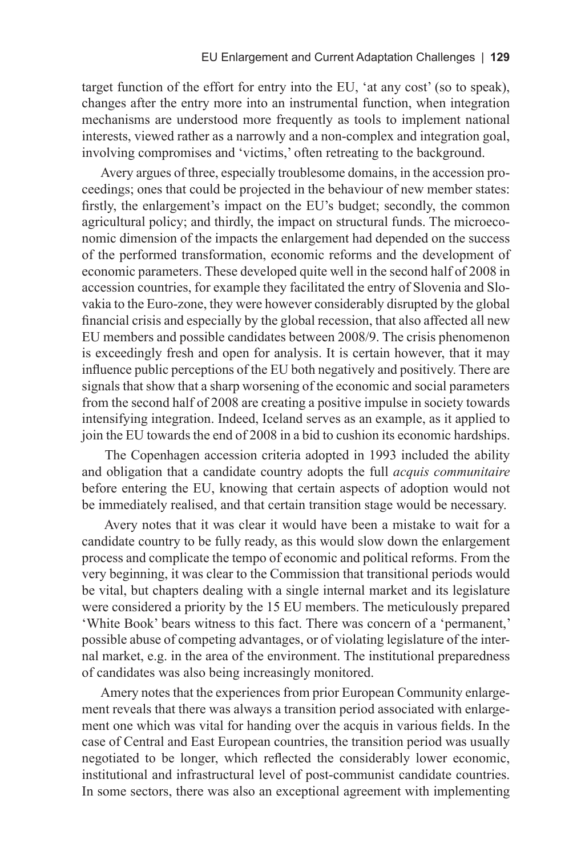target function of the effort for entry into the EU, 'at any cost' (so to speak), changes after the entry more into an instrumental function, when integration mechanisms are understood more frequently as tools to implement national interests, viewed rather as a narrowly and a non-complex and integration goal, involving compromises and 'victims,' often retreating to the background.

Avery argues of three, especially troublesome domains, in the accession proceedings; ones that could be projected in the behaviour of new member states: firstly, the enlargement's impact on the EU's budget; secondly, the common agricultural policy; and thirdly, the impact on structural funds. The microeconomic dimension of the impacts the enlargement had depended on the success of the performed transformation, economic reforms and the development of economic parameters. These developed quite well in the second half of 2008 in accession countries, for example they facilitated the entry of Slovenia and Slovakia to the Euro-zone, they were however considerably disrupted by the global financial crisis and especially by the global recession, that also affected all new EU members and possible candidates between 2008/9. The crisis phenomenon is exceedingly fresh and open for analysis. It is certain however, that it may influence public perceptions of the EU both negatively and positively. There are signals that show that a sharp worsening of the economic and social parameters from the second half of 2008 are creating a positive impulse in society towards intensifying integration. Indeed, Iceland serves as an example, as it applied to join the EU towards the end of 2008 in a bid to cushion its economic hardships.

The Copenhagen accession criteria adopted in 1993 included the ability and obligation that a candidate country adopts the full *acquis communitaire* before entering the EU, knowing that certain aspects of adoption would not be immediately realised, and that certain transition stage would be necessary.

Avery notes that it was clear it would have been a mistake to wait for a candidate country to be fully ready, as this would slow down the enlargement process and complicate the tempo of economic and political reforms. From the very beginning, it was clear to the Commission that transitional periods would be vital, but chapters dealing with a single internal market and its legislature were considered a priority by the 15 EU members. The meticulously prepared 'White Book' bears witness to this fact. There was concern of a 'permanent,' possible abuse of competing advantages, or of violating legislature of the internal market, e.g. in the area of the environment. The institutional preparedness of candidates was also being increasingly monitored.

Amery notes that the experiences from prior European Community enlargement reveals that there was always a transition period associated with enlargement one which was vital for handing over the acquis in various fields. In the case of Central and East European countries, the transition period was usually negotiated to be longer, which reflected the considerably lower economic, institutional and infrastructural level of post-communist candidate countries. In some sectors, there was also an exceptional agreement with implementing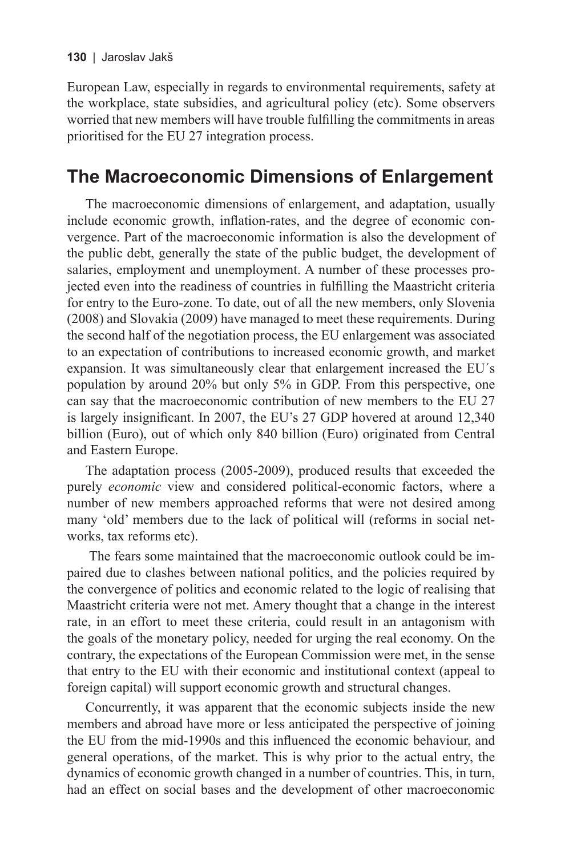European Law, especially in regards to environmental requirements, safety at the workplace, state subsidies, and agricultural policy (etc). Some observers worried that new members will have trouble fulfilling the commitments in areas prioritised for the EU 27 integration process.

# **The Macroeconomic Dimensions of Enlargement**

The macroeconomic dimensions of enlargement, and adaptation, usually include economic growth, inflation-rates, and the degree of economic convergence. Part of the macroeconomic information is also the development of the public debt, generally the state of the public budget, the development of salaries, employment and unemployment. A number of these processes projected even into the readiness of countries in fulfilling the Maastricht criteria for entry to the Euro-zone. To date, out of all the new members, only Slovenia (2008) and Slovakia (2009) have managed to meet these requirements. During the second half of the negotiation process, the EU enlargement was associated to an expectation of contributions to increased economic growth, and market expansion. It was simultaneously clear that enlargement increased the EU´s population by around 20% but only 5% in GDP. From this perspective, one can say that the macroeconomic contribution of new members to the EU 27 is largely insignificant. In 2007, the EU's 27 GDP hovered at around 12,340 billion (Euro), out of which only 840 billion (Euro) originated from Central and Eastern Europe.

The adaptation process (2005-2009), produced results that exceeded the purely *economic* view and considered political-economic factors, where a number of new members approached reforms that were not desired among many 'old' members due to the lack of political will (reforms in social networks, tax reforms etc).

The fears some maintained that the macroeconomic outlook could be impaired due to clashes between national politics, and the policies required by the convergence of politics and economic related to the logic of realising that Maastricht criteria were not met. Amery thought that a change in the interest rate, in an effort to meet these criteria, could result in an antagonism with the goals of the monetary policy, needed for urging the real economy. On the contrary, the expectations of the European Commission were met, in the sense that entry to the EU with their economic and institutional context (appeal to foreign capital) will support economic growth and structural changes.

Concurrently, it was apparent that the economic subjects inside the new members and abroad have more or less anticipated the perspective of joining the EU from the mid-1990s and this influenced the economic behaviour, and general operations, of the market. This is why prior to the actual entry, the dynamics of economic growth changed in a number of countries. This, in turn, had an effect on social bases and the development of other macroeconomic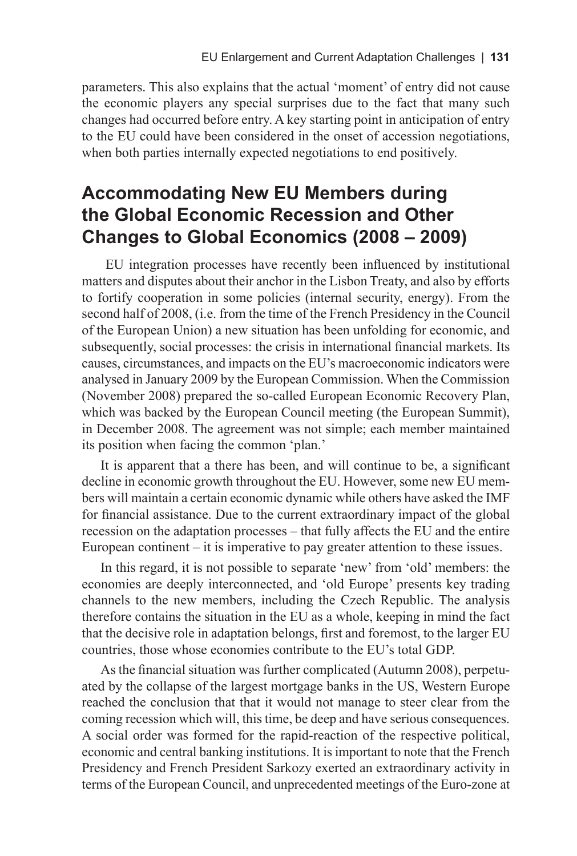parameters. This also explains that the actual 'moment' of entry did not cause the economic players any special surprises due to the fact that many such changes had occurred before entry. A key starting point in anticipation of entry to the EU could have been considered in the onset of accession negotiations, when both parties internally expected negotiations to end positively.

## **Accommodating New EU Members during the Global Economic Recession and Other Changes to Global Economics (2008 – 2009)**

EU integration processes have recently been influenced by institutional matters and disputes about their anchor in the Lisbon Treaty, and also by efforts to fortify cooperation in some policies (internal security, energy). From the second half of 2008, (i.e. from the time of the French Presidency in the Council of the European Union) a new situation has been unfolding for economic, and subsequently, social processes: the crisis in international financial markets. Its causes, circumstances, and impacts on the EU's macroeconomic indicators were analysed in January 2009 by the European Commission. When the Commission (November 2008) prepared the so-called European Economic Recovery Plan, which was backed by the European Council meeting (the European Summit), in December 2008. The agreement was not simple; each member maintained its position when facing the common 'plan.'

It is apparent that a there has been, and will continue to be, a significant decline in economic growth throughout the EU. However, some new EU members will maintain a certain economic dynamic while others have asked the IMF for financial assistance. Due to the current extraordinary impact of the global recession on the adaptation processes – that fully affects the EU and the entire European continent – it is imperative to pay greater attention to these issues.

In this regard, it is not possible to separate 'new' from 'old' members: the economies are deeply interconnected, and 'old Europe' presents key trading channels to the new members, including the Czech Republic. The analysis therefore contains the situation in the EU as a whole, keeping in mind the fact that the decisive role in adaptation belongs, first and foremost, to the larger EU countries, those whose economies contribute to the EU's total GDP.

As the financial situation was further complicated (Autumn 2008), perpetuated by the collapse of the largest mortgage banks in the US, Western Europe reached the conclusion that that it would not manage to steer clear from the coming recession which will, this time, be deep and have serious consequences. A social order was formed for the rapid-reaction of the respective political, economic and central banking institutions. It is important to note that the French Presidency and French President Sarkozy exerted an extraordinary activity in terms of the European Council, and unprecedented meetings of the Euro-zone at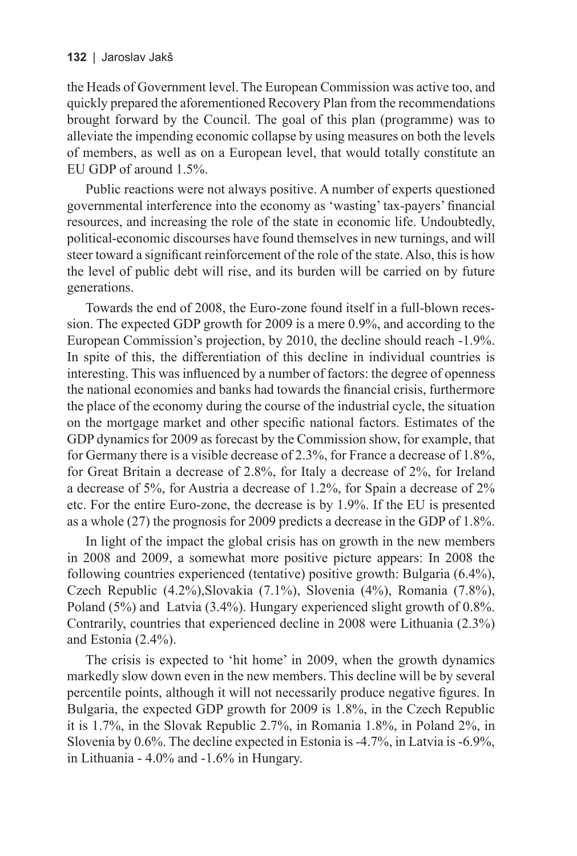the Heads of Government level. The European Commission was active too, and quickly prepared the aforementioned Recovery Plan from the recommendations brought forward by the Council. The goal of this plan (programme) was to alleviate the impending economic collapse by using measures on both the levels of members, as well as on a European level, that would totally constitute an EU GDP of around 1.5%.

Public reactions were not always positive. A number of experts questioned governmental interference into the economy as 'wasting' tax-payers' financial resources, and increasing the role of the state in economic life. Undoubtedly, political-economic discourses have found themselves in new turnings, and will steer toward a significant reinforcement of the role of the state. Also, this is how the level of public debt will rise, and its burden will be carried on by future generations.

Towards the end of 2008, the Euro-zone found itself in a full-blown recession. The expected GDP growth for 2009 is a mere 0.9%, and according to the European Commission's projection, by 2010, the decline should reach -1.9%. In spite of this, the differentiation of this decline in individual countries is interesting. This was influenced by a number of factors: the degree of openness the national economies and banks had towards the financial crisis, furthermore the place of the economy during the course of the industrial cycle, the situation on the mortgage market and other specific national factors. Estimates of the GDP dynamics for 2009 as forecast by the Commission show, for example, that for Germany there is a visible decrease of 2.3%, for France a decrease of 1.8%, for Great Britain a decrease of 2.8%, for Italy a decrease of 2%, for Ireland a decrease of 5%, for Austria a decrease of 1.2%, for Spain a decrease of 2% etc. For the entire Euro-zone, the decrease is by 1.9%. If the EU is presented as a whole (27) the prognosis for 2009 predicts a decrease in the GDP of 1.8%.

In light of the impact the global crisis has on growth in the new members in 2008 and 2009, a somewhat more positive picture appears: In 2008 the following countries experienced (tentative) positive growth: Bulgaria (6.4%), Czech Republic (4.2%),Slovakia (7.1%), Slovenia (4%), Romania (7.8%), Poland (5%) and Latvia (3.4%). Hungary experienced slight growth of 0.8%. Contrarily, countries that experienced decline in 2008 were Lithuania (2.3%) and Estonia (2.4%).

The crisis is expected to 'hit home' in 2009, when the growth dynamics markedly slow down even in the new members. This decline will be by several percentile points, although it will not necessarily produce negative figures. In Bulgaria, the expected GDP growth for 2009 is 1.8%, in the Czech Republic it is 1.7%, in the Slovak Republic 2.7%, in Romania 1.8%, in Poland 2%, in Slovenia by 0.6%. The decline expected in Estonia is -4.7%, in Latvia is -6.9%, in Lithuania - 4.0% and -1.6% in Hungary.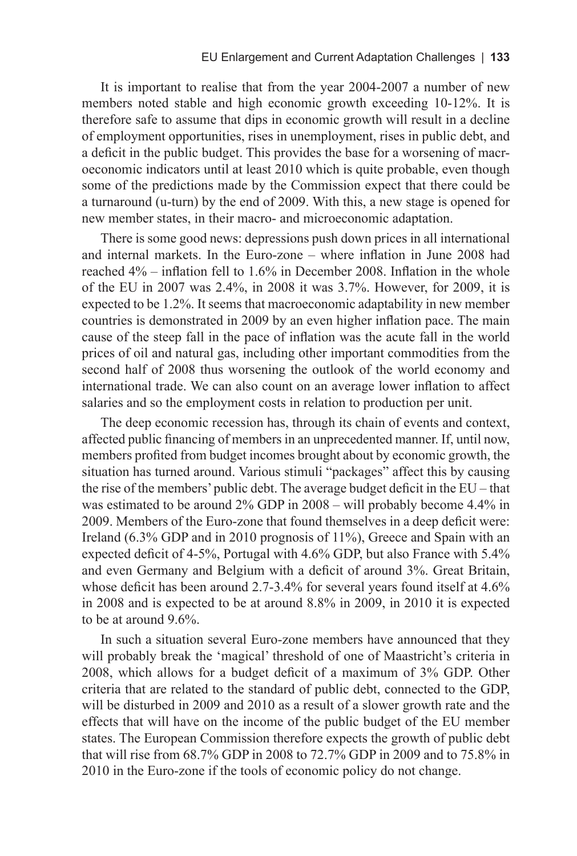It is important to realise that from the year 2004-2007 a number of new members noted stable and high economic growth exceeding 10-12%. It is therefore safe to assume that dips in economic growth will result in a decline of employment opportunities, rises in unemployment, rises in public debt, and a deficit in the public budget. This provides the base for a worsening of macroeconomic indicators until at least 2010 which is quite probable, even though some of the predictions made by the Commission expect that there could be a turnaround (u-turn) by the end of 2009. With this, a new stage is opened for new member states, in their macro- and microeconomic adaptation.

There is some good news: depressions push down prices in all international and internal markets. In the Euro-zone – where inflation in June 2008 had reached 4% – inflation fell to 1.6% in December 2008. Inflation in the whole of the EU in 2007 was 2.4%, in 2008 it was 3.7%. However, for 2009, it is expected to be 1.2%. It seems that macroeconomic adaptability in new member countries is demonstrated in 2009 by an even higher inflation pace. The main cause of the steep fall in the pace of inflation was the acute fall in the world prices of oil and natural gas, including other important commodities from the second half of 2008 thus worsening the outlook of the world economy and international trade. We can also count on an average lower inflation to affect salaries and so the employment costs in relation to production per unit.

The deep economic recession has, through its chain of events and context, affected public financing of members in an unprecedented manner. If, until now, members profited from budget incomes brought about by economic growth, the situation has turned around. Various stimuli "packages" affect this by causing the rise of the members' public debt. The average budget deficit in the EU – that was estimated to be around 2% GDP in 2008 – will probably become 4.4% in 2009. Members of the Euro-zone that found themselves in a deep deficit were: Ireland (6.3% GDP and in 2010 prognosis of 11%), Greece and Spain with an expected deficit of 4-5%, Portugal with 4.6% GDP, but also France with 5.4% and even Germany and Belgium with a deficit of around 3%. Great Britain, whose deficit has been around 2.7-3.4% for several years found itself at 4.6% in 2008 and is expected to be at around 8.8% in 2009, in 2010 it is expected to be at around 9.6%.

In such a situation several Euro-zone members have announced that they will probably break the 'magical' threshold of one of Maastricht's criteria in 2008, which allows for a budget deficit of a maximum of 3% GDP. Other criteria that are related to the standard of public debt, connected to the GDP, will be disturbed in 2009 and 2010 as a result of a slower growth rate and the effects that will have on the income of the public budget of the EU member states. The European Commission therefore expects the growth of public debt that will rise from 68.7% GDP in 2008 to 72.7% GDP in 2009 and to 75.8% in 2010 in the Euro-zone if the tools of economic policy do not change.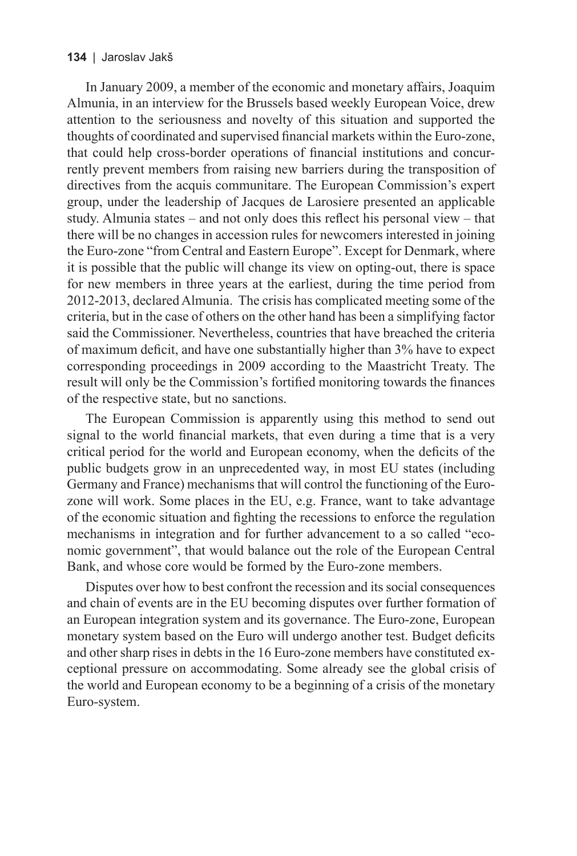### **134** | Jaroslav Jakš

In January 2009, a member of the economic and monetary affairs, Joaquim Almunia, in an interview for the Brussels based weekly European Voice, drew attention to the seriousness and novelty of this situation and supported the thoughts of coordinated and supervised financial markets within the Euro-zone, that could help cross-border operations of financial institutions and concurrently prevent members from raising new barriers during the transposition of directives from the acquis communitare. The European Commission's expert group, under the leadership of Jacques de Larosiere presented an applicable study. Almunia states – and not only does this reflect his personal view – that there will be no changes in accession rules for newcomers interested in joining the Euro-zone "from Central and Eastern Europe". Except for Denmark, where it is possible that the public will change its view on opting-out, there is space for new members in three years at the earliest, during the time period from 2012-2013, declared Almunia. The crisis has complicated meeting some of the criteria, but in the case of others on the other hand has been a simplifying factor said the Commissioner. Nevertheless, countries that have breached the criteria of maximum deficit, and have one substantially higher than 3% have to expect corresponding proceedings in 2009 according to the Maastricht Treaty. The result will only be the Commission's fortified monitoring towards the finances of the respective state, but no sanctions.

The European Commission is apparently using this method to send out signal to the world financial markets, that even during a time that is a very critical period for the world and European economy, when the deficits of the public budgets grow in an unprecedented way, in most EU states (including Germany and France) mechanisms that will control the functioning of the Eurozone will work. Some places in the EU, e.g. France, want to take advantage of the economic situation and fighting the recessions to enforce the regulation mechanisms in integration and for further advancement to a so called "economic government", that would balance out the role of the European Central Bank, and whose core would be formed by the Euro-zone members.

Disputes over how to best confront the recession and its social consequences and chain of events are in the EU becoming disputes over further formation of an European integration system and its governance. The Euro-zone, European monetary system based on the Euro will undergo another test. Budget deficits and other sharp rises in debts in the 16 Euro-zone members have constituted exceptional pressure on accommodating. Some already see the global crisis of the world and European economy to be a beginning of a crisis of the monetary Euro-system.